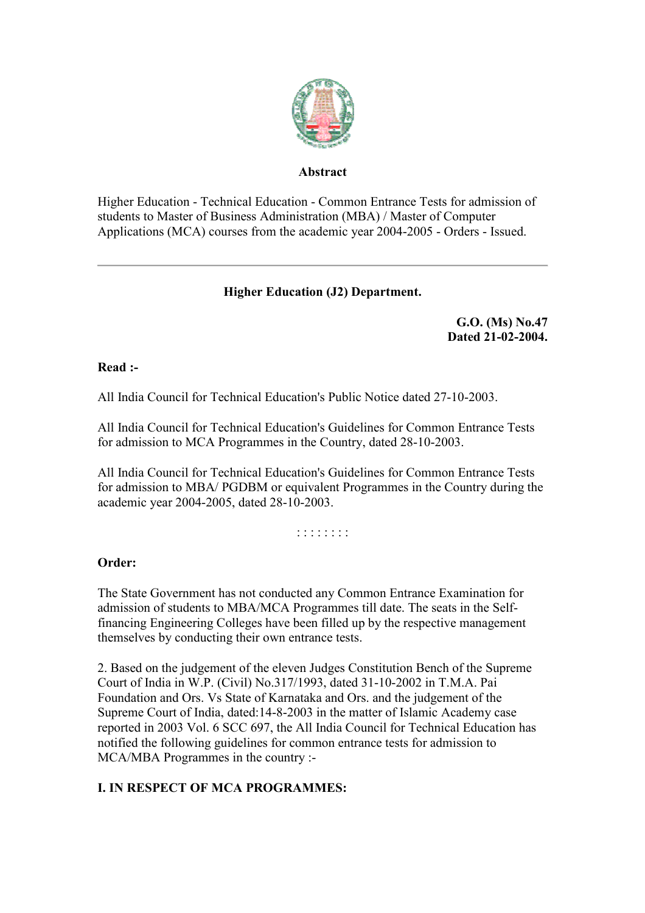

#### **Abstract**

Higher Education - Technical Education - Common Entrance Tests for admission of students to Master of Business Administration (MBA) / Master of Computer Applications (MCA) courses from the academic year 2004-2005 - Orders - Issued.

## **Higher Education (J2) Department.**

**G.O. (Ms) No.47 Dated 21-02-2004.**

#### **Read :-**

All India Council for Technical Education's Public Notice dated 27-10-2003.

All India Council for Technical Education's Guidelines for Common Entrance Tests for admission to MCA Programmes in the Country, dated 28-10-2003.

All India Council for Technical Education's Guidelines for Common Entrance Tests for admission to MBA/ PGDBM or equivalent Programmes in the Country during the academic year 2004-2005, dated 28-10-2003.

: : : : : : : :

### **Order:**

The State Government has not conducted any Common Entrance Examination for admission of students to MBA/MCA Programmes till date. The seats in the Selffinancing Engineering Colleges have been filled up by the respective management themselves by conducting their own entrance tests.

2. Based on the judgement of the eleven Judges Constitution Bench of the Supreme Court of India in W.P. (Civil) No.317/1993, dated 31-10-2002 in T.M.A. Pai Foundation and Ors. Vs State of Karnataka and Ors. and the judgement of the Supreme Court of India, dated:14-8-2003 in the matter of Islamic Academy case reported in 2003 Vol. 6 SCC 697, the All India Council for Technical Education has notified the following guidelines for common entrance tests for admission to MCA/MBA Programmes in the country :-

# **I. IN RESPECT OF MCA PROGRAMMES:**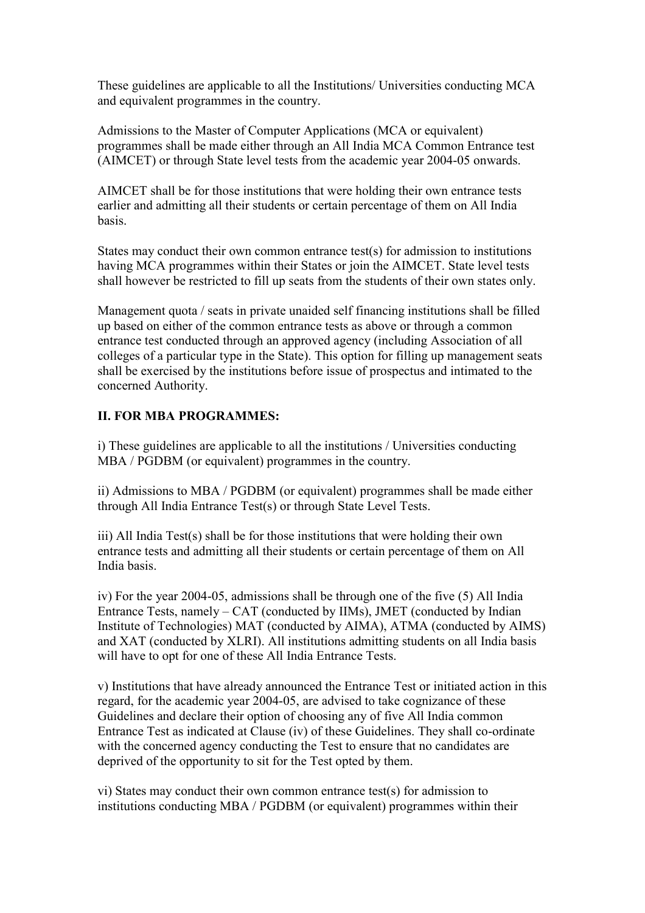These guidelines are applicable to all the Institutions/ Universities conducting MCA and equivalent programmes in the country.

Admissions to the Master of Computer Applications (MCA or equivalent) programmes shall be made either through an All India MCA Common Entrance test (AIMCET) or through State level tests from the academic year 2004-05 onwards.

AIMCET shall be for those institutions that were holding their own entrance tests earlier and admitting all their students or certain percentage of them on All India basis.

States may conduct their own common entrance test(s) for admission to institutions having MCA programmes within their States or join the AIMCET. State level tests shall however be restricted to fill up seats from the students of their own states only.

Management quota / seats in private unaided self financing institutions shall be filled up based on either of the common entrance tests as above or through a common entrance test conducted through an approved agency (including Association of all colleges of a particular type in the State). This option for filling up management seats shall be exercised by the institutions before issue of prospectus and intimated to the concerned Authority.

### **II. FOR MBA PROGRAMMES:**

i) These guidelines are applicable to all the institutions / Universities conducting MBA / PGDBM (or equivalent) programmes in the country.

ii) Admissions to MBA / PGDBM (or equivalent) programmes shall be made either through All India Entrance Test(s) or through State Level Tests.

iii) All India Test(s) shall be for those institutions that were holding their own entrance tests and admitting all their students or certain percentage of them on All India basis.

iv) For the year 2004-05, admissions shall be through one of the five (5) All India Entrance Tests, namely – CAT (conducted by IIMs), JMET (conducted by Indian Institute of Technologies) MAT (conducted by AIMA), ATMA (conducted by AIMS) and XAT (conducted by XLRI). All institutions admitting students on all India basis will have to opt for one of these All India Entrance Tests.

v) Institutions that have already announced the Entrance Test or initiated action in this regard, for the academic year 2004-05, are advised to take cognizance of these Guidelines and declare their option of choosing any of five All India common Entrance Test as indicated at Clause (iv) of these Guidelines. They shall co-ordinate with the concerned agency conducting the Test to ensure that no candidates are deprived of the opportunity to sit for the Test opted by them.

vi) States may conduct their own common entrance test(s) for admission to institutions conducting MBA / PGDBM (or equivalent) programmes within their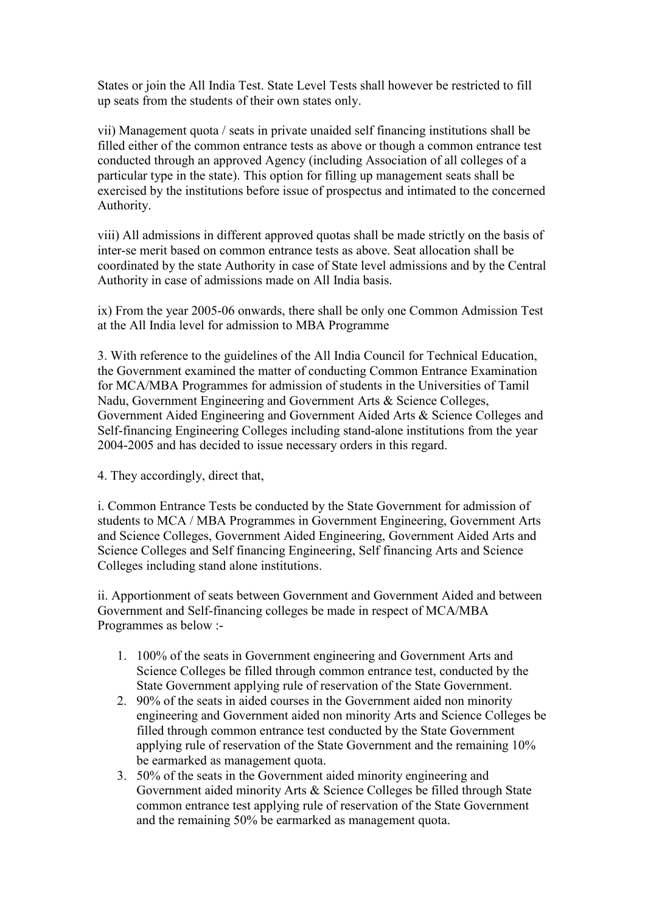States or join the All India Test. State Level Tests shall however be restricted to fill up seats from the students of their own states only.

vii) Management quota / seats in private unaided self financing institutions shall be filled either of the common entrance tests as above or though a common entrance test conducted through an approved Agency (including Association of all colleges of a particular type in the state). This option for filling up management seats shall be exercised by the institutions before issue of prospectus and intimated to the concerned Authority.

viii) All admissions in different approved quotas shall be made strictly on the basis of inter-se merit based on common entrance tests as above. Seat allocation shall be coordinated by the state Authority in case of State level admissions and by the Central Authority in case of admissions made on All India basis.

ix) From the year 2005-06 onwards, there shall be only one Common Admission Test at the All India level for admission to MBA Programme

3. With reference to the guidelines of the All India Council for Technical Education, the Government examined the matter of conducting Common Entrance Examination for MCA/MBA Programmes for admission of students in the Universities of Tamil Nadu, Government Engineering and Government Arts & Science Colleges, Government Aided Engineering and Government Aided Arts & Science Colleges and Self-financing Engineering Colleges including stand-alone institutions from the year 2004-2005 and has decided to issue necessary orders in this regard.

4. They accordingly, direct that,

i. Common Entrance Tests be conducted by the State Government for admission of students to MCA / MBA Programmes in Government Engineering, Government Arts and Science Colleges, Government Aided Engineering, Government Aided Arts and Science Colleges and Self financing Engineering, Self financing Arts and Science Colleges including stand alone institutions.

ii. Apportionment of seats between Government and Government Aided and between Government and Self-financing colleges be made in respect of MCA/MBA Programmes as below :-

- 1. 100% of the seats in Government engineering and Government Arts and Science Colleges be filled through common entrance test, conducted by the State Government applying rule of reservation of the State Government.
- 2. 90% of the seats in aided courses in the Government aided non minority engineering and Government aided non minority Arts and Science Colleges be filled through common entrance test conducted by the State Government applying rule of reservation of the State Government and the remaining 10% be earmarked as management quota.
- 3. 50% of the seats in the Government aided minority engineering and Government aided minority Arts & Science Colleges be filled through State common entrance test applying rule of reservation of the State Government and the remaining 50% be earmarked as management quota.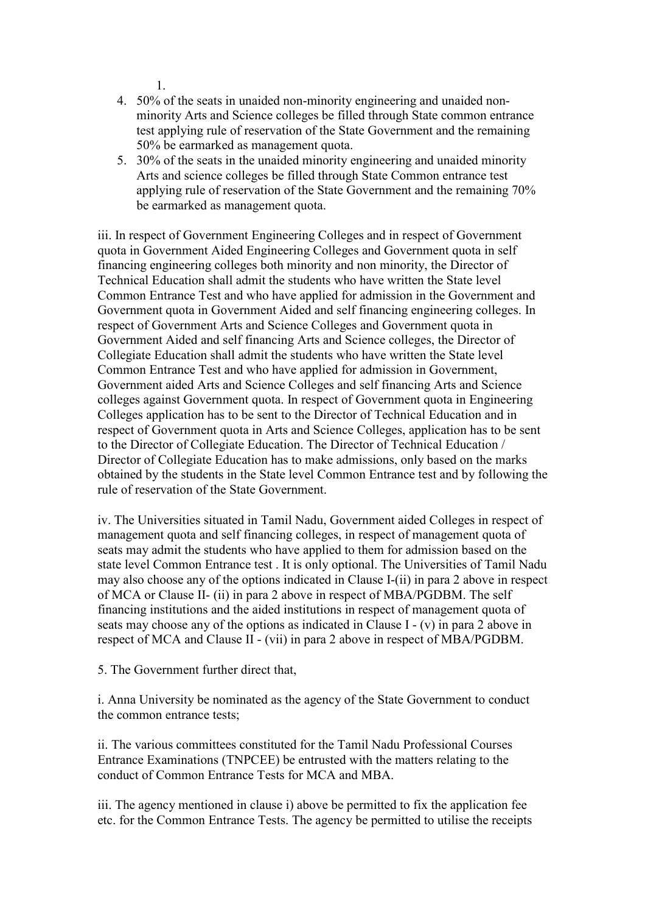1.

- 4. 50% of the seats in unaided non-minority engineering and unaided nonminority Arts and Science colleges be filled through State common entrance test applying rule of reservation of the State Government and the remaining 50% be earmarked as management quota.
- 5. 30% of the seats in the unaided minority engineering and unaided minority Arts and science colleges be filled through State Common entrance test applying rule of reservation of the State Government and the remaining 70% be earmarked as management quota.

iii. In respect of Government Engineering Colleges and in respect of Government quota in Government Aided Engineering Colleges and Government quota in self financing engineering colleges both minority and non minority, the Director of Technical Education shall admit the students who have written the State level Common Entrance Test and who have applied for admission in the Government and Government quota in Government Aided and self financing engineering colleges. In respect of Government Arts and Science Colleges and Government quota in Government Aided and self financing Arts and Science colleges, the Director of Collegiate Education shall admit the students who have written the State level Common Entrance Test and who have applied for admission in Government, Government aided Arts and Science Colleges and self financing Arts and Science colleges against Government quota. In respect of Government quota in Engineering Colleges application has to be sent to the Director of Technical Education and in respect of Government quota in Arts and Science Colleges, application has to be sent to the Director of Collegiate Education. The Director of Technical Education / Director of Collegiate Education has to make admissions, only based on the marks obtained by the students in the State level Common Entrance test and by following the rule of reservation of the State Government.

iv. The Universities situated in Tamil Nadu, Government aided Colleges in respect of management quota and self financing colleges, in respect of management quota of seats may admit the students who have applied to them for admission based on the state level Common Entrance test . It is only optional. The Universities of Tamil Nadu may also choose any of the options indicated in Clause I-(ii) in para 2 above in respect of MCA or Clause II- (ii) in para 2 above in respect of MBA/PGDBM. The self financing institutions and the aided institutions in respect of management quota of seats may choose any of the options as indicated in Clause I - (v) in para 2 above in respect of MCA and Clause II - (vii) in para 2 above in respect of MBA/PGDBM.

5. The Government further direct that,

i. Anna University be nominated as the agency of the State Government to conduct the common entrance tests;

ii. The various committees constituted for the Tamil Nadu Professional Courses Entrance Examinations (TNPCEE) be entrusted with the matters relating to the conduct of Common Entrance Tests for MCA and MBA.

iii. The agency mentioned in clause i) above be permitted to fix the application fee etc. for the Common Entrance Tests. The agency be permitted to utilise the receipts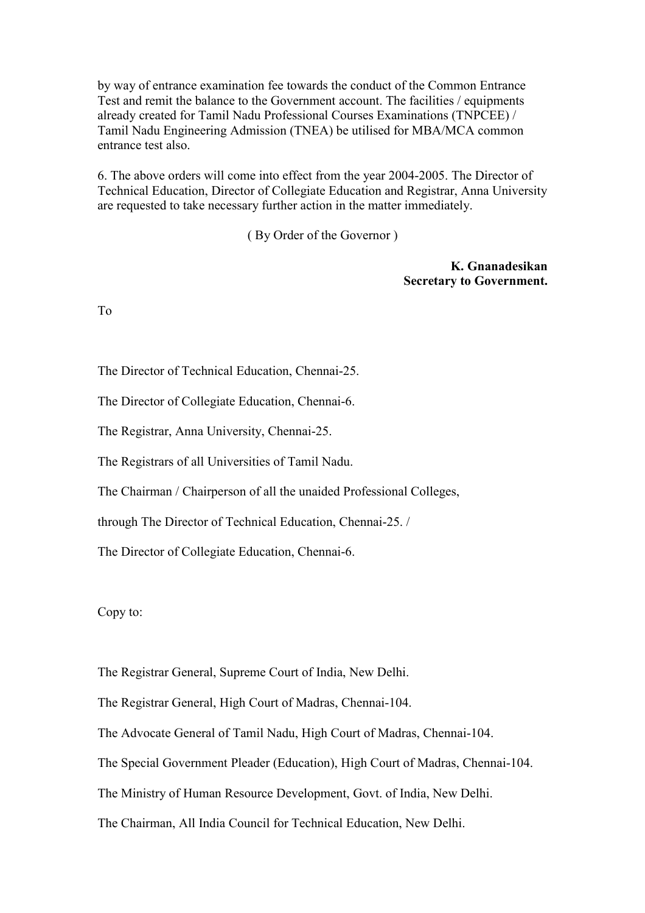by way of entrance examination fee towards the conduct of the Common Entrance Test and remit the balance to the Government account. The facilities / equipments already created for Tamil Nadu Professional Courses Examinations (TNPCEE) / Tamil Nadu Engineering Admission (TNEA) be utilised for MBA/MCA common entrance test also.

6. The above orders will come into effect from the year 2004-2005. The Director of Technical Education, Director of Collegiate Education and Registrar, Anna University are requested to take necessary further action in the matter immediately.

( By Order of the Governor )

**K. Gnanadesikan Secretary to Government.**

To

The Director of Technical Education, Chennai-25.

The Director of Collegiate Education, Chennai-6.

The Registrar, Anna University, Chennai-25.

The Registrars of all Universities of Tamil Nadu.

The Chairman / Chairperson of all the unaided Professional Colleges,

through The Director of Technical Education, Chennai-25. /

The Director of Collegiate Education, Chennai-6.

Copy to:

The Registrar General, Supreme Court of India, New Delhi.

The Registrar General, High Court of Madras, Chennai-104.

The Advocate General of Tamil Nadu, High Court of Madras, Chennai-104.

The Special Government Pleader (Education), High Court of Madras, Chennai-104.

The Ministry of Human Resource Development, Govt. of India, New Delhi.

The Chairman, All India Council for Technical Education, New Delhi.